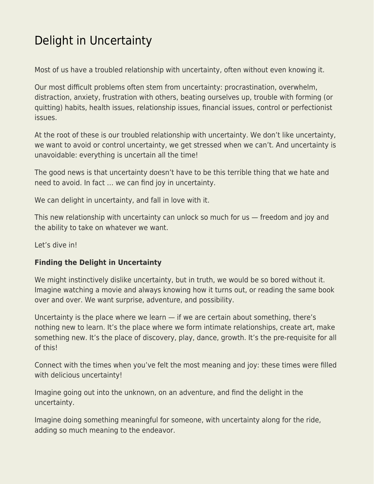## [Delight in Uncertainty](https://everything-voluntary.com/delight-in-uncertainty)

Most of us have a troubled relationship with uncertainty, often without even knowing it.

Our most difficult problems often stem from uncertainty: procrastination, overwhelm, distraction, anxiety, frustration with others, beating ourselves up, trouble with forming (or quitting) habits, health issues, relationship issues, financial issues, control or perfectionist issues.

At the root of these is our troubled relationship with uncertainty. We don't like uncertainty, we want to avoid or control uncertainty, we get stressed when we can't. And uncertainty is unavoidable: everything is uncertain all the time!

The good news is that uncertainty doesn't have to be this terrible thing that we hate and need to avoid. In fact … we can find joy in uncertainty.

We can delight in uncertainty, and fall in love with it.

This new relationship with uncertainty can unlock so much for us — freedom and joy and the ability to take on whatever we want.

Let's dive in!

## **Finding the Delight in Uncertainty**

We might instinctively dislike uncertainty, but in truth, we would be so bored without it. Imagine watching a movie and always knowing how it turns out, or reading the same book over and over. We want surprise, adventure, and possibility.

Uncertainty is the place where we learn  $-$  if we are certain about something, there's nothing new to learn. It's the place where we form intimate relationships, create art, make something new. It's the place of discovery, play, dance, growth. It's the pre-requisite for all of this!

Connect with the times when you've felt the most meaning and joy: these times were filled with delicious uncertainty!

Imagine going out into the unknown, on an adventure, and find the delight in the uncertainty.

Imagine doing something meaningful for someone, with uncertainty along for the ride, adding so much meaning to the endeavor.